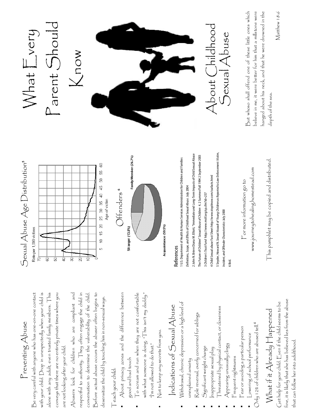### Preventing Abuse Preventing Abuse

Be very careful with anyone who has one-on-one contact with your child. Drop in unexpectedly when your child is alone with any adult, even trusted family members. This Be very careful with anyone who has one-on-one contact with your child. Drop in unexpectedly when your child is alone with any adult, even trusted family members. This conveys that there are no entirely private times where you conveys that there are no entirely private times where you are not looking after your child. are not looking after your child.

Abusers look for children who are compliant and respectful to authority. They often engage the child in Before actual abuse occurs the abuser often begins to Abusers look for children who are compliant and respectful to authority. They often engage the child in conversation to determine the vulnerability of the child. Before actual abuse occurs the abuser often begins to conversation to determine the vulnerability of the child. desensitize the child by touching him in non-sexual ways. desensitize the child by touching him in non-sexual ways.

#### Teach your child: Teach your child:

- About privacy zones and the difference between ! About privacy zones and the difference between good and bad touch good and bad touch
- $\blacksquare$   $\blacksquare$   $\lozenge$  scream and run when they are not comfortable with what someone is doing. "This isn't my daddy." To scream and run when they are not comfortable with what someone is doing. "This isn't my daddy." ">I'm not allowed to do that." "<sup>1</sup>m not allowed to do that."
- Not to keep any secrets from you. Not to keep any secrets from you.

## Indications of Sexual Abuse Indications of Sexual Abuse

- Withdrawal, chronic depression or a high level of  $N$ ithdrawal, chronic depression or a high level of unexplained anxiety unexplained anxiety
- ! Role reversal, overly concerned for siblings Role reversal, overly concerned for siblings
- Significant weight change ! Significant weight change
- ! Inappropriate sexual play Inappropriate sexual play
- ! Threatened by physical contact, or closeness Threatened by physical contact, or closeness

*Incident, and Offender Characteristics* July 2000

Incident, and Offender Characteristics July 2000

6 Ibid.

- $\bigwedge$ ppearing unusually clingy Appearing unusually clingy
	- Frequent nightmares ! Frequent nightmares
- Fear or avoiding a particular person  $\blacksquare$  Fear or avoiding a particular person
- Only 12% of children who are abused tell.<sup>4</sup>  $O$ nly 12% of children who are abused tell.<sup>4</sup> Lowering of school performance ! Lowering of school performance

## What if it Already Happened What if it  $\bigwedge$ Iready  $\bigcap$ Iappened

fine, it is likely that she has believed lies from the abuse fine, it is likely that she has believed lies from the abuse Get help for your child. Even if the child seems to be Get help for your child. Even if the child seems to be that can follow her into adulthood. that can follow her into adulthood.





#### References References

5 Snyder, Howard N. *Sexual Assault of Young Children as Reported to Law Enforcement: Victim,*  5 Snyder, Howard N. Sexual Assault of Young Children as Reported to Law Enforcement: Victim, 2 John N. Briere Diana M. Elliott, "Immediate and Long-Term Impacts of Child Sexual Abuse 2 John N. Briere Diana M. Elliott, "Immediate and Long-Term Impacts of Child Sexual Abuse The Future of Childrenî *Sexual Abuse of Children* 4. 2 Summer/Fall 1994 2 September 2003 The Future of Children" Sexual Abuse of Children 4.2 Summer/Fall 1994 2 September 2003 I U.S. Department of Health & Human Services Administration for Children and Families 1 U.S. Department of Health & Human Services Administration for Children and Families 4 Child Sexual abuse Fact Sheet http://www.stopitnow.com/csafacts.html 4 Child Sexual abuse Fact Sheet http://www.stopitnow.com/csafacts.html Definitions, Scope, and Effects of Childhood Sexual Abuse. July 2004 *Definitions, Scope, and Effects of Childhood Sexual Abuse.* July 2004 3 *Childrenís Trust Fund* http://www.mctf.org/sp.cfm?id=257 3 Children's Trust Fund http://www.mctf.org/sp.cfm?id=257

www.journeytohealing.homestead.com www.journeytohealing.homestead.com For more information go to For more information go to

This pamphlet may be copied and distributed. This pamphlet may be copied and distributed.





About Childhood About Childhood Sexual Abuse Sexual Abuse

But whoso shall offend one of these little ones which believe in me, it were better for him that a millstone were believe in me, it were better for him that a millstone were hanged about his neck, and that he were drowned in the But whoso shall offend one of these little ones which hanged about his neck, and that he were drowned in the depth of the sea. depth of the sea.

Matthew 18:6 Vlatthew 18:6